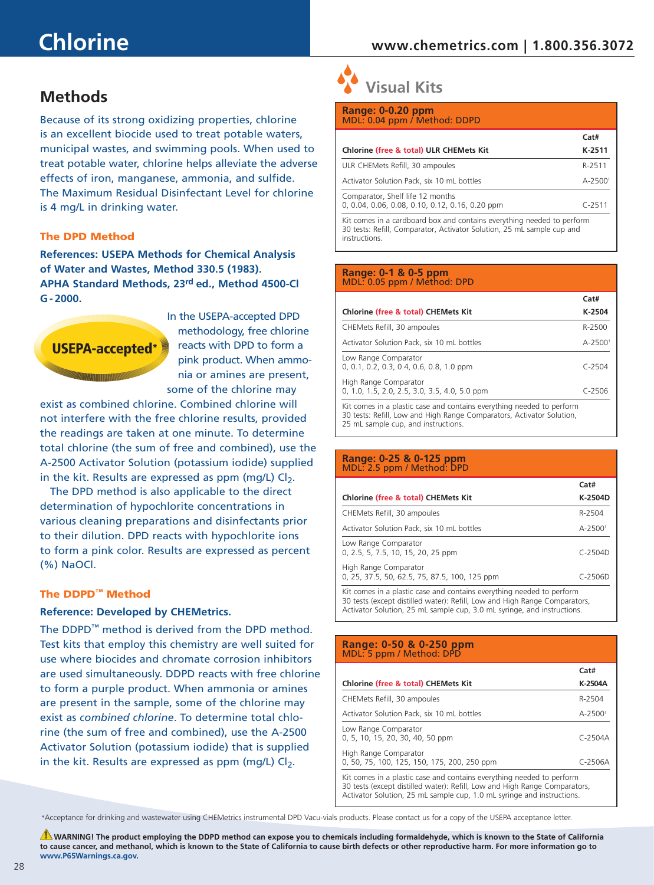# **Chlorine**

### **www.chemetrics.com | 1.800.356.3072**

## **Methods**

Because of its strong oxidizing properties, chlorine is an excellent biocide used to treat potable waters, municipal wastes, and swimming pools. When used to treat potable water, chlorine helps alleviate the adverse effects of iron, manganese, ammonia, and sulfide. The Maximum Residual Disinfectant Level for chlorine is 4 mg/L in drinking water.

### The DPD Method

**References: USEPA Methods for Chemical Analysis of Water and Wastes, Method 330.5 (1983). APHA Standard Methods, 23rd ed., Method 4500-Cl G - 2000.** 



In the USEPA-accepted DPD methodology, free chlorine reacts with DPD to form a pink product. When ammonia or amines are present, some of the chlorine may

exist as combined chlorine. Combined chlorine will not interfere with the free chlorine results, provided the readings are taken at one minute. To determine total chlorine (the sum of free and combined), use the A-2500 Activator Solution (potassium iodide) supplied in the kit. Results are expressed as ppm (mg/L)  $Cl_2$ .

The DPD method is also applicable to the direct determination of hypochlorite concentrations in various cleaning preparations and disinfectants prior to their dilution. DPD reacts with hypochlorite ions to form a pink color. Results are expressed as percent (%) NaOCl.

### The DDPD™ Method

### **Reference: Developed by CHEMetrics.**

The DDPD™ method is derived from the DPD method. Test kits that employ this chemistry are well suited for use where biocides and chromate corrosion inhibitors are used simultaneously. DDPD reacts with free chlorine to form a purple product. When ammonia or amines are present in the sample, some of the chlorine may exist as *combined chlorine*. To determine total chlorine (the sum of free and combined), use the A-2500 Activator Solution (potassium iodide) that is supplied in the kit. Results are expressed as ppm (mg/L)  $Cl_2$ .

 **Visual Kits**

| <b>Range: 0-0.20 ppm</b><br>MDL: 0.04 ppm / Method: DDPD                                                                                         |                         |
|--------------------------------------------------------------------------------------------------------------------------------------------------|-------------------------|
|                                                                                                                                                  | Cat#                    |
| Chlorine (free & total) ULR CHEMets Kit                                                                                                          | K-2511                  |
| ULR CHEMets Refill, 30 ampoules                                                                                                                  | R-2511                  |
| Activator Solution Pack, six 10 mL bottles                                                                                                       | $A - 2500$ <sup>1</sup> |
| Comparator, Shelf life 12 months<br>0, 0.04, 0.06, 0.08, 0.10, 0.12, 0.16, 0.20 ppm                                                              | $C - 2511$              |
| Kit comes in a cardboard box and contains everything needed to perform<br>30 tests: Refill, Comparator, Activator Solution, 25 mL sample cup and |                         |

### **Range: 0-1 & 0-5 ppm** MDL: 0.05 ppm / Method: DPD

instructions.

|                                                                                                                                             | Cat#                    |
|---------------------------------------------------------------------------------------------------------------------------------------------|-------------------------|
| Chlorine (free & total) CHEMets Kit                                                                                                         | K-2504                  |
| CHEMets Refill, 30 ampoules                                                                                                                 | R-2500                  |
| Activator Solution Pack, six 10 mL bottles                                                                                                  | $A - 2500$ <sup>1</sup> |
| Low Range Comparator<br>$0, 0.1, 0.2, 0.3, 0.4, 0.6, 0.8, 1.0$ ppm                                                                          | $C - 2504$              |
| High Range Comparator<br>0, 1.0, 1.5, 2.0, 2.5, 3.0, 3.5, 4.0, 5.0 ppm                                                                      | $C - 2506$              |
| Kit comes in a plastic case and contains everything needed to perform<br>30 tosts: Pofil Low and High Range Comparators, Activator Solution |                         |

 $\eta$ igh Range Comparators,  $\eta$ 25 mL sample cup, and instructions.

### **Range: 0-25 & 0-125 ppm** MDL: 2.5 ppm / Method: DPD

|                                                                                                                                                                                                                                | Cat#                    |
|--------------------------------------------------------------------------------------------------------------------------------------------------------------------------------------------------------------------------------|-------------------------|
| Chlorine (free & total) CHEMets Kit                                                                                                                                                                                            | K-2504D                 |
| CHEMets Refill, 30 ampoules                                                                                                                                                                                                    | R-2504                  |
| Activator Solution Pack, six 10 mL bottles                                                                                                                                                                                     | $A - 2500$ <sup>1</sup> |
| Low Range Comparator<br>0, 2.5, 5, 7.5, 10, 15, 20, 25 ppm                                                                                                                                                                     | $C-2504D$               |
| High Range Comparator<br>0, 25, 37.5, 50, 62.5, 75, 87.5, 100, 125 ppm                                                                                                                                                         | $C - 2506D$             |
| Kit comes in a plastic case and contains everything needed to perform<br>30 tests (except distilled water): Refill, Low and High Range Comparators,<br>Activator Solution, 25 mL sample cup, 3.0 mL syringe, and instructions. |                         |

### **Range: 0-50 & 0-250 ppm** MDL: 5 ppm / Method: DPD **Cat# Chlorine (free & total) CHEMets Kit K-2504A** CHEMets Refill, 30 ampoules R-2504 Activator Solution Pack, six 10 mL bottles A-25001 Low Range Comparator 0, 5, 10, 15, 20, 30, 40, 50 ppm C-2504A High Range Comparator 0, 50, 75, 100, 125, 150, 175, 200, 250 ppm C-2506A Kit comes in a plastic case and contains everything needed to perform 30 tests (except distilled water): Refill, Low and High Range Comparators,

Activator Solution, 25 mL sample cup, 1.0 mL syringe and instructions.

\*Acceptance for drinking and wastewater using CHEMetrics instrumental DPD Vacu-vials products. Please contact us for a copy of the USEPA acceptance letter.

**WARNING! The product employing the DDPD method can expose you to chemicals including formaldehyde, which is known to the State of California to cause cancer, and methanol, which is known to the State of California to cause birth defects or other reproductive harm. For more information go to www.P65Warnings.ca.gov.**